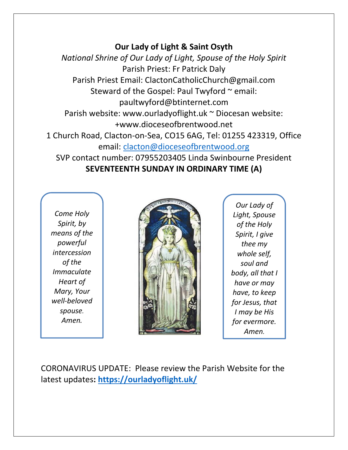### **Our Lady of Light & Saint Osyth**

*National Shrine of Our Lady of Light, Spouse of the Holy Spirit* Parish Priest: Fr Patrick Daly Parish Priest Email: ClactonCatholicChurch@gmail.com Steward of the Gospel: Paul Twyford  $\sim$  email: paultwyford@btinternet.com Parish website: www.ourladyoflight.uk ~ Diocesan website: +www.dioceseofbrentwood.net 1 Church Road, Clacton-on-Sea, CO15 6AG, Tel: 01255 423319, Office email: [clacton@dioceseofbrentwood.org](mailto:clacton@dioceseofbrentwood.org) SVP contact number: 07955203405 Linda Swinbourne President **SEVENTEENTH SUNDAY IN ORDINARY TIME (A)**

*Come Holy Spirit, by means of the powerful intercession of the Immaculate Heart of Mary, Your well-beloved spouse. Amen.*



*Our Lady of Light, Spouse of the Holy Spirit, I give thee my whole self, soul and body, all that I have or may have, to keep for Jesus, that I may be His for evermore. Amen.*

CORONAVIRUS UPDATE: Please review the Parish Website for the latest updates**:<https://ourladyoflight.uk/>**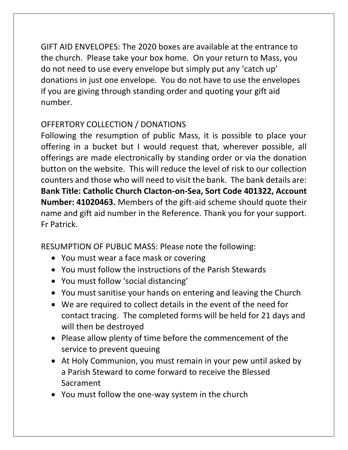GIFT AID ENVELOPES: The 2020 boxes are available at the entrance to the church. Please take your box home. On your return to Mass, you do not need to use every envelope but simply put any 'catch up' donations in just one envelope. You do not have to use the envelopes if you are giving through standing order and quoting your gift aid number.

# OFFERTORY COLLECTION / DONATIONS

Following the resumption of public Mass, it is possible to place your offering in a bucket but I would request that, wherever possible, all offerings are made electronically by standing order or via the donation button on the website. This will reduce the level of risk to our collection counters and those who will need to visit the bank. The bank details are: **Bank Title: Catholic Church Clacton-on-Sea, Sort Code 401322, Account Number: 41020463.** Members of the gift-aid scheme should quote their name and gift aid number in the Reference. Thank you for your support. Fr Patrick.

RESUMPTION OF PUBLIC MASS: Please note the following:

- You must wear a face mask or covering
- You must follow the instructions of the Parish Stewards
- You must follow 'social distancing'
- You must sanitise your hands on entering and leaving the Church
- We are required to collect details in the event of the need for contact tracing. The completed forms will be held for 21 days and will then be destroyed
- Please allow plenty of time before the commencement of the service to prevent queuing
- At Holy Communion, you must remain in your pew until asked by a Parish Steward to come forward to receive the Blessed Sacrament
- You must follow the one-way system in the church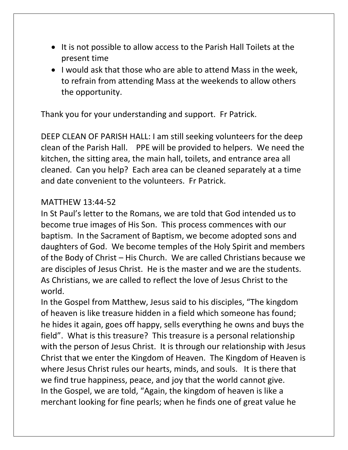- It is not possible to allow access to the Parish Hall Toilets at the present time
- I would ask that those who are able to attend Mass in the week, to refrain from attending Mass at the weekends to allow others the opportunity.

Thank you for your understanding and support. Fr Patrick.

DEEP CLEAN OF PARISH HALL: I am still seeking volunteers for the deep clean of the Parish Hall. PPE will be provided to helpers. We need the kitchen, the sitting area, the main hall, toilets, and entrance area all cleaned. Can you help? Each area can be cleaned separately at a time and date convenient to the volunteers. Fr Patrick.

#### MATTHEW 13:44-52

In St Paul's letter to the Romans, we are told that God intended us to become true images of His Son. This process commences with our baptism. In the Sacrament of Baptism, we become adopted sons and daughters of God. We become temples of the Holy Spirit and members of the Body of Christ – His Church. We are called Christians because we are disciples of Jesus Christ. He is the master and we are the students. As Christians, we are called to reflect the love of Jesus Christ to the world.

In the Gospel from Matthew, Jesus said to his disciples, "The kingdom of heaven is like treasure hidden in a field which someone has found; he hides it again, goes off happy, sells everything he owns and buys the field". What is this treasure? This treasure is a personal relationship with the person of Jesus Christ. It is through our relationship with Jesus Christ that we enter the Kingdom of Heaven. The Kingdom of Heaven is where Jesus Christ rules our hearts, minds, and souls. It is there that we find true happiness, peace, and joy that the world cannot give. In the Gospel, we are told, "Again, the kingdom of heaven is like a merchant looking for fine pearls; when he finds one of great value he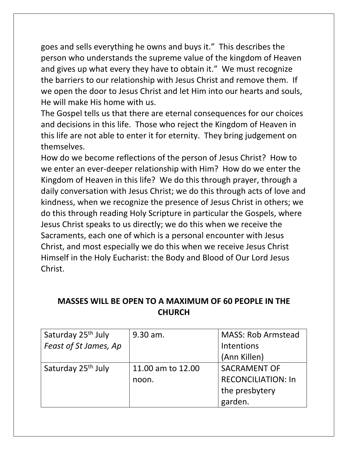goes and sells everything he owns and buys it." This describes the person who understands the supreme value of the kingdom of Heaven and gives up what every they have to obtain it." We must recognize the barriers to our relationship with Jesus Christ and remove them. If we open the door to Jesus Christ and let Him into our hearts and souls, He will make His home with us.

The Gospel tells us that there are eternal consequences for our choices and decisions in this life. Those who reject the Kingdom of Heaven in this life are not able to enter it for eternity. They bring judgement on themselves.

How do we become reflections of the person of Jesus Christ? How to we enter an ever-deeper relationship with Him? How do we enter the Kingdom of Heaven in this life? We do this through prayer, through a daily conversation with Jesus Christ; we do this through acts of love and kindness, when we recognize the presence of Jesus Christ in others; we do this through reading Holy Scripture in particular the Gospels, where Jesus Christ speaks to us directly; we do this when we receive the Sacraments, each one of which is a personal encounter with Jesus Christ, and most especially we do this when we receive Jesus Christ Himself in the Holy Eucharist: the Body and Blood of Our Lord Jesus Christ.

## **MASSES WILL BE OPEN TO A MAXIMUM OF 60 PEOPLE IN THE CHURCH**

| Saturday 25 <sup>th</sup> July | 9.30 am.          | <b>MASS: Rob Armstead</b> |
|--------------------------------|-------------------|---------------------------|
| Feast of St James, Ap          |                   | Intentions                |
|                                |                   | (Ann Killen)              |
| Saturday 25 <sup>th</sup> July | 11.00 am to 12.00 | <b>SACRAMENT OF</b>       |
|                                | noon.             | <b>RECONCILIATION: In</b> |
|                                |                   | the presbytery            |
|                                |                   | garden.                   |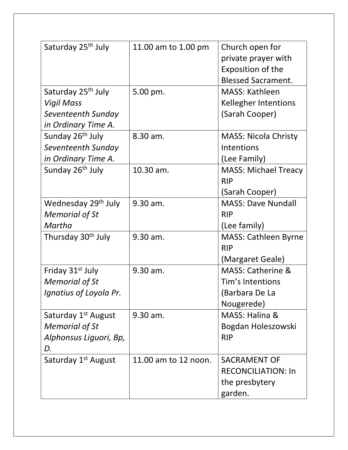| Saturday 25 <sup>th</sup> July  | 11.00 am to 1.00 pm  | Church open for              |
|---------------------------------|----------------------|------------------------------|
|                                 |                      | private prayer with          |
|                                 |                      | Exposition of the            |
|                                 |                      | <b>Blessed Sacrament.</b>    |
| Saturday 25 <sup>th</sup> July  | 5.00 pm.             | <b>MASS: Kathleen</b>        |
| <b>Vigil Mass</b>               |                      | <b>Kellegher Intentions</b>  |
| Seventeenth Sunday              |                      | (Sarah Cooper)               |
| in Ordinary Time A.             |                      |                              |
| Sunday 26 <sup>th</sup> July    | 8.30 am.             | <b>MASS: Nicola Christy</b>  |
| Seventeenth Sunday              |                      | Intentions                   |
| in Ordinary Time A.             |                      | (Lee Family)                 |
| Sunday 26 <sup>th</sup> July    | 10.30 am.            | <b>MASS: Michael Treacy</b>  |
|                                 |                      | <b>RIP</b>                   |
|                                 |                      | (Sarah Cooper)               |
| Wednesday 29 <sup>th</sup> July | 9.30 am.             | <b>MASS: Dave Nundall</b>    |
| <b>Memorial of St</b>           |                      | <b>RIP</b>                   |
| Martha                          |                      | (Lee family)                 |
| Thursday 30 <sup>th</sup> July  | 9.30 am.             | <b>MASS: Cathleen Byrne</b>  |
|                                 |                      | <b>RIP</b>                   |
|                                 |                      | (Margaret Geale)             |
| Friday 31 <sup>st</sup> July    | 9.30 am.             | <b>MASS: Catherine &amp;</b> |
| <b>Memorial of St</b>           |                      | Tim's Intentions             |
| Ignatius of Loyola Pr.          |                      | (Barbara De La               |
|                                 |                      | Nougerede)                   |
| Saturday 1 <sup>st</sup> August | 9.30 am.             | MASS: Halina &               |
| <b>Memorial of St</b>           |                      | Bogdan Holeszowski           |
| Alphonsus Liguori, Bp,          |                      | <b>RIP</b>                   |
| D.                              |                      |                              |
| Saturday 1 <sup>st</sup> August | 11.00 am to 12 noon. | <b>SACRAMENT OF</b>          |
|                                 |                      | <b>RECONCILIATION: In</b>    |
|                                 |                      | the presbytery               |
|                                 |                      | garden.                      |